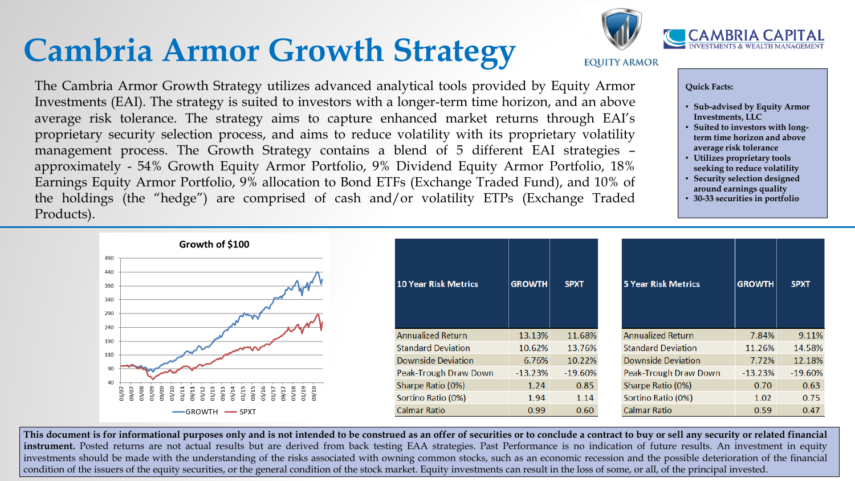# **Cambria Armor Growth Strategy**

#### **Quick Facts:**

- **Sub-advised by Equity Armor Investments, LLC**
- **Suited to investors with longterm time horizon and above average risk tolerance**
- **Utilizes proprietary tools seeking to reduce volatility**
- **Security selection designed around earnings quality**
- **30-33 securities in portfolio**

The Cambria Armor Growth Strategy utilizes advanced analytical tools provided by Equity Armor Investments (EAI). The strategy is suited to investors with a longer-term time horizon, and an above average risk tolerance. The strategy aims to capture enhanced market returns through EAI's proprietary security selection process, and aims to reduce volatility with its proprietary volatility management process. The Growth Strategy contains a blend of 5 different EAI strategies – approximately - 54% Growth Equity Armor Portfolio, 9% Dividend Equity Armor Portfolio, 18% Earnings Equity Armor Portfolio, 9% allocation to Bond ETFs (Exchange Traded Fund), and 10% of the holdings (the "hedge") are comprised of cash and/or volatility ETPs (Exchange Traded Products).

| Growth of \$100                  |                             |               |             |                            |               |             |
|----------------------------------|-----------------------------|---------------|-------------|----------------------------|---------------|-------------|
|                                  |                             |               |             |                            |               |             |
|                                  |                             |               |             |                            |               |             |
|                                  | <b>10 Year Risk Metrics</b> | <b>GROWTH</b> | <b>SPXT</b> | <b>5 Year Risk Metrics</b> | <b>GROWTH</b> | <b>SPXT</b> |
|                                  |                             |               |             |                            |               |             |
| $\sim$                           |                             |               |             |                            |               |             |
|                                  |                             |               |             |                            |               |             |
|                                  | <b>Annualized Return</b>    | 13.13%        | 11.68%      | <b>Annualized Return</b>   | 7.84%         | 9.11%       |
|                                  | <b>Standard Deviation</b>   | 10.62%        | 13.76%      | <b>Standard Deviation</b>  | 11.26%        | 14.58%      |
|                                  | <b>Downside Deviation</b>   | 6.76%         | 10.22%      | <b>Downside Deviation</b>  | 7.72%         | 12.18%      |
|                                  | Peak-Trough Draw Down       | $-13.23%$     | $-19.60%$   | Peak-Trough Draw Down      | $-13.23%$     | $-19.60%$   |
|                                  | Sharpe Ratio (0%)           | 1.24          | 0.85        | Sharpe Ratio (0%)          | 0.70          | 0.63        |
| 05/10<br>05/08<br>01/09<br>09/09 | Sortino Ratio (0%)          | 1.94          | 1.14        | Sortino Ratio (0%)         | 1.02          | 0.75        |
| GROWTH - SPXT                    | <b>Calmar Ratio</b>         | 0.99          | 0.60        | Calmar Ratio               | 0.59          | 0.47        |

This document is for informational purposes only and is not intended to be construed as an offer of securities or to conclude a contract to buy or sell any security or related financial **instrument.** Posted returns are not actual results but are derived from back testing EAA strategies. Past Performance is no indication of future results. An investment in equity investments should be made with the understanding of the risks associated with owning common stocks, such as an economic recession and the possible deterioration of the financial condition of the issuers of the equity securities, or the general condition of the stock market. Equity investments can result in the loss of some, or all, of the principal invested.





#### **EQUITY ARMOR**